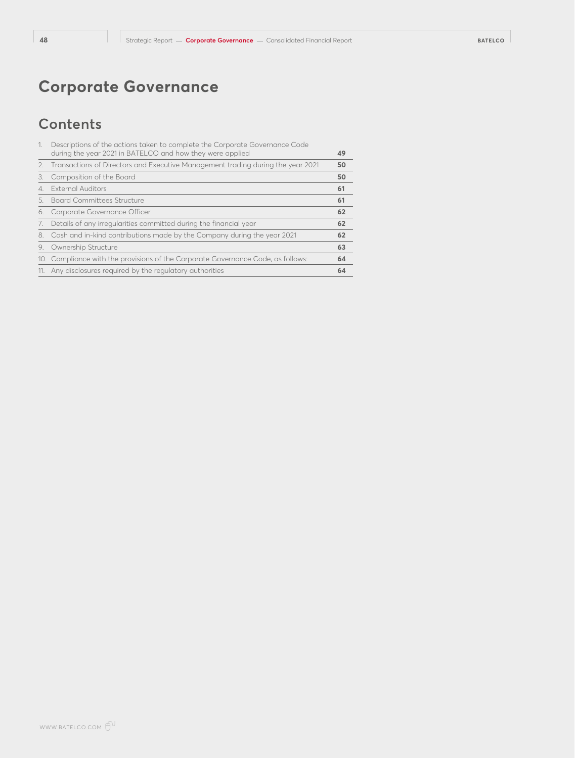# **Contents**

| 1. | Descriptions of the actions taken to complete the Corporate Governance Code<br>during the year 2021 in BATELCO and how they were applied | 49 |
|----|------------------------------------------------------------------------------------------------------------------------------------------|----|
|    | 2. Transactions of Directors and Executive Management trading during the year 2021                                                       | 50 |
| 3. | Composition of the Board                                                                                                                 | 50 |
|    | 4. External Auditors                                                                                                                     | 61 |
|    | 5. Board Committees Structure                                                                                                            | 61 |
| 6. | Corporate Governance Officer                                                                                                             | 62 |
| 7. | Details of any irregularities committed during the financial year                                                                        | 62 |
|    | 8. Cash and in-kind contributions made by the Company during the year 2021                                                               | 62 |
| 9. | Ownership Structure                                                                                                                      | 63 |
|    | 10. Compliance with the provisions of the Corporate Governance Code, as follows:                                                         | 64 |
|    | 11. Any disclosures required by the regulatory authorities                                                                               | 64 |
|    |                                                                                                                                          |    |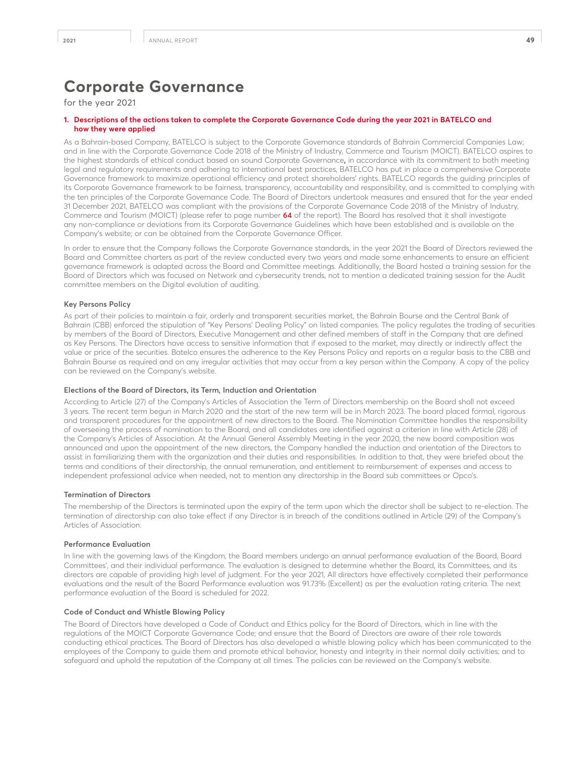## for the year 2021

## **1. Descriptions of the actions taken to complete the Corporate Governance Code during the year 2021 in BATELCO and how they were applied**

As a Bahrain-based Company, BATELCO is subject to the Corporate Governance standards of Bahrain Commercial Companies Law; and in line with the Corporate Governance Code 2018 of the Ministry of Industry, Commerce and Tourism (MOICT). BATELCO aspires to the highest standards of ethical conduct based on sound Corporate Governance**,** in accordance with its commitment to both meeting legal and regulatory requirements and adhering to international best practices, BATELCO has put in place a comprehensive Corporate Governance framework to maximize operational efficiency and protect shareholders' rights. BATELCO regards the guiding principles of its Corporate Governance framework to be fairness, transparency, accountability and responsibility, and is committed to complying with the ten principles of the Corporate Governance Code. The Board of Directors undertook measures and ensured that for the year ended 31 December 2021, BATELCO was compliant with the provisions of the Corporate Governance Code 2018 of the Ministry of Industry, Commerce and Tourism (MOICT) (please refer to page number **64** of the report). The Board has resolved that it shall investigate any non-compliance or deviations from its Corporate Governance Guidelines which have been established and is available on the Company's website; or can be obtained from the Corporate Governance Officer.

In order to ensure that the Company follows the Corporate Governance standards, in the year 2021 the Board of Directors reviewed the Board and Committee charters as part of the review conducted every two years and made some enhancements to ensure an efficient governance framework is adapted across the Board and Committee meetings. Additionally, the Board hosted a training session for the Board of Directors which was focused on Network and cybersecurity trends, not to mention a dedicated training session for the Audit committee members on the Digital evolution of auditing.

## **Key Persons Policy**

As part of their policies to maintain a fair, orderly and transparent securities market, the Bahrain Bourse and the Central Bank of Bahrain (CBB) enforced the stipulation of "Key Persons' Dealing Policy" on listed companies. The policy regulates the trading of securities by members of the Board of Directors, Executive Management and other defined members of staff in the Company that are defined as Key Persons. The Directors have access to sensitive information that if exposed to the market, may directly or indirectly affect the value or price of the securities. Batelco ensures the adherence to the Key Persons Policy and reports on a regular basis to the CBB and Bahrain Bourse as required and on any irregular activities that may occur from a key person within the Company. A copy of the policy can be reviewed on the Company's website.

### **Elections of the Board of Directors, its Term, Induction and Orientation**

According to Article (27) of the Company's Articles of Association the Term of Directors membership on the Board shall not exceed 3 years. The recent term begun in March 2020 and the start of the new term will be in March 2023. The board placed formal, rigorous and transparent procedures for the appointment of new directors to the Board. The Nomination Committee handles the responsibility of overseeing the process of nomination to the Board, and all candidates are identified against a criterion in line with Article (28) of the Company's Articles of Association. At the Annual General Assembly Meeting in the year 2020, the new board composition was announced and upon the appointment of the new directors, the Company handled the induction and orientation of the Directors to assist in familiarizing them with the organization and their duties and responsibilities. In addition to that, they were briefed about the terms and conditions of their directorship, the annual remuneration, and entitlement to reimbursement of expenses and access to independent professional advice when needed, not to mention any directorship in the Board sub committees or Opco's.

#### **Termination of Directors**

The membership of the Directors is terminated upon the expiry of the term upon which the director shall be subject to re-election. The termination of directorship can also take effect if any Director is in breach of the conditions outlined in Article (29) of the Company's Articles of Association.

## **Performance Evaluation**

In line with the governing laws of the Kingdom, the Board members undergo an annual performance evaluation of the Board, Board Committees', and their individual performance. The evaluation is designed to determine whether the Board, its Committees, and its directors are capable of providing high level of judgment. For the year 2021, All directors have effectively completed their performance evaluations and the result of the Board Performance evaluation was 91.73% (Excellent) as per the evaluation rating criteria. The next performance evaluation of the Board is scheduled for 2022.

#### **Code of Conduct and Whistle Blowing Policy**

The Board of Directors have developed a Code of Conduct and Ethics policy for the Board of Directors, which in line with the regulations of the MOICT Corporate Governance Code; and ensure that the Board of Directors are aware of their role towards conducting ethical practices. The Board of Directors has also developed a whistle blowing policy which has been communicated to the employees of the Company to guide them and promote ethical behavior, honesty and integrity in their normal daily activities; and to safeguard and uphold the reputation of the Company at all times. The policies can be reviewed on the Company's website.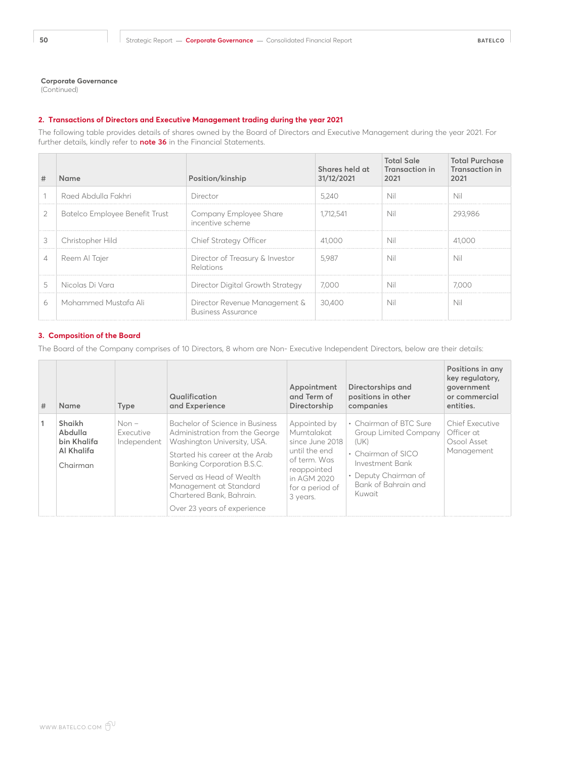(Continued)

## **2. Transactions of Directors and Executive Management trading during the year 2021**

The following table provides details of shares owned by the Board of Directors and Executive Management during the year 2021. For further details, kindly refer to **note 36** in the Financial Statements.

| #              | Name                           | Position/kinship                                           | Shares held at<br>31/12/2021 | <b>Total Sale</b><br>Transaction in<br>2021 | <b>Total Purchase</b><br><b>Transaction in</b><br>2021 |
|----------------|--------------------------------|------------------------------------------------------------|------------------------------|---------------------------------------------|--------------------------------------------------------|
|                | Raed Abdulla Fakhri            | Director                                                   | 5.240                        | Nil                                         | Nil                                                    |
| 2              | Batelco Employee Benefit Trust | Company Employee Share<br>incentive scheme                 | 1.712.541                    | Nil                                         | 293.986                                                |
| 3              | Christopher Hild               | Chief Strategy Officer                                     | 41,000                       | Nil                                         | 41,000                                                 |
| $\overline{4}$ | Reem Al Tajer                  | Director of Treasury & Investor<br>Relations               | 5.987                        | Nil                                         | Nil                                                    |
| 5              | Nicolas Di Vara                | Director Digital Growth Strategy                           | 7.000                        | Nil                                         | 7.000                                                  |
| 6              | Mohammed Mustafa Ali           | Director Revenue Management &<br><b>Business Assurance</b> | 30,400                       | Nil                                         | Nil                                                    |

## **3. Composition of the Board**

The Board of the Company comprises of 10 Directors, 8 whom are Non- Executive Independent Directors, below are their details:

| # | <b>Name</b>                                                | <b>Type</b>                         | Qualification<br>and Experience                                                                                                                                                                                                                                                   | Appointment<br>and Term of<br>Directorship                                                                                                  | Directorships and<br>positions in other<br>companies                                                                                                                   | Positions in any<br>key regulatory,<br>government<br>or commercial<br>entities. |
|---|------------------------------------------------------------|-------------------------------------|-----------------------------------------------------------------------------------------------------------------------------------------------------------------------------------------------------------------------------------------------------------------------------------|---------------------------------------------------------------------------------------------------------------------------------------------|------------------------------------------------------------------------------------------------------------------------------------------------------------------------|---------------------------------------------------------------------------------|
| 1 | Shaikh<br>Abdulla<br>bin Khalifa<br>Al Khalifa<br>Chairman | $Non -$<br>Executive<br>Independent | Bachelor of Science in Business<br>Administration from the George<br>Washington University, USA.<br>Started his career at the Arab<br>Banking Corporation B.S.C.<br>Served as Head of Wealth<br>Management at Standard<br>Chartered Bank, Bahrain.<br>Over 23 years of experience | Appointed by<br>Mumtalakat<br>since June 2018<br>until the end<br>of term. Was<br>reappointed<br>in AGM 2020<br>for a period of<br>3 years. | • Chairman of BTC Sure<br><b>Group Limited Company</b><br>(UK)<br>$\cdot$ Chairman of SICO<br>Investment Bank<br>• Deputy Chairman of<br>Bank of Bahrain and<br>Kuwait | Chief Executive<br>Officer at<br>Osool Asset<br>Management                      |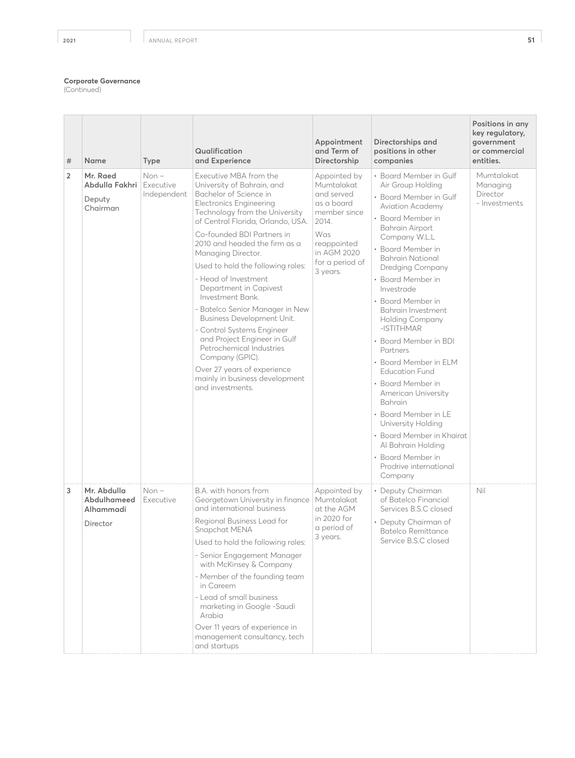(Continued)

| #              | Name                                                | <b>Type</b>                         | Qualification<br>and Experience                                                                                                                                                                                                                                                                                                                                                                                                                                                                                                                                                                                                                            | Appointment<br>and Term of<br>Directorship                                                                                                          | Directorships and<br>positions in other<br>companies                                                                                                                                                                                                                                                                                                                                                                                                                                                                                                                                                                                                         | Positions in any<br>key regulatory,<br>government<br>or commercial<br>entities. |
|----------------|-----------------------------------------------------|-------------------------------------|------------------------------------------------------------------------------------------------------------------------------------------------------------------------------------------------------------------------------------------------------------------------------------------------------------------------------------------------------------------------------------------------------------------------------------------------------------------------------------------------------------------------------------------------------------------------------------------------------------------------------------------------------------|-----------------------------------------------------------------------------------------------------------------------------------------------------|--------------------------------------------------------------------------------------------------------------------------------------------------------------------------------------------------------------------------------------------------------------------------------------------------------------------------------------------------------------------------------------------------------------------------------------------------------------------------------------------------------------------------------------------------------------------------------------------------------------------------------------------------------------|---------------------------------------------------------------------------------|
| $\overline{2}$ | Mr. Raed<br>Abdulla Fakhri<br>Deputy<br>Chairman    | $Non -$<br>Executive<br>Independent | Executive MBA from the<br>University of Bahrain, and<br>Bachelor of Science in<br><b>Electronics Engineering</b><br>Technology from the University<br>of Central Florida, Orlando, USA.<br>Co-founded BDI Partners in<br>2010 and headed the firm as a<br>Managing Director.<br>Used to hold the following roles:<br>- Head of Investment<br>Department in Capivest<br>Investment Bank.<br>- Batelco Senior Manager in New<br>Business Development Unit.<br>- Control Systems Engineer<br>and Project Engineer in Gulf<br>Petrochemical Industries<br>Company (GPIC).<br>Over 27 years of experience<br>mainly in business development<br>and investments. | Appointed by<br>Mumtalakat<br>and served<br>as a board<br>member since<br>2014.<br>Was<br>reappointed<br>in AGM 2020<br>for a period of<br>3 years. | • Board Member in Gulf<br>Air Group Holding<br>• Board Member in Gulf<br>Aviation Academy<br>• Board Member in<br><b>Bahrain Airport</b><br>Company W.L.L<br>• Board Member in<br><b>Bahrain National</b><br>Dredging Company<br>• Board Member in<br>Investrade<br>• Board Member in<br>Bahrain Investment<br><b>Holding Company</b><br>-ISTITHMAR<br>• Board Member in BDI<br>Partners<br>• Board Member in ELM<br><b>Education Fund</b><br>• Board Member in<br>American University<br>Bahrain<br>• Board Member in LE<br>University Holding<br>• Board Member in Khairat<br>Al Bahrain Holding<br>• Board Member in<br>Prodrive international<br>Company | Mumtalakat<br>Managing<br>Director<br>- Investments                             |
| 3              | Mr. Abdulla<br>Abdulhameed<br>Alhammadi<br>Director | $Non -$<br>Executive                | B.A. with honors from<br>Georgetown University in finance<br>and international business<br>Regional Business Lead for<br>Snapchat MENA<br>Used to hold the following roles:<br>- Senior Engagement Manager<br>with McKinsey & Company<br>- Member of the founding team<br>in Careem<br>- Lead of small business<br>marketing in Google -Saudi<br>Arabia<br>Over 11 years of experience in<br>management consultancy, tech<br>and startups                                                                                                                                                                                                                  | Appointed by<br>Mumtalakat<br>at the AGM<br>in 2020 for<br>a period of<br>3 years.                                                                  | • Deputy Chairman<br>of Batelco Financial<br>Services B.S.C closed<br>• Deputy Chairman of<br>Batelco Remittance<br>Service B.S.C closed                                                                                                                                                                                                                                                                                                                                                                                                                                                                                                                     | Nil                                                                             |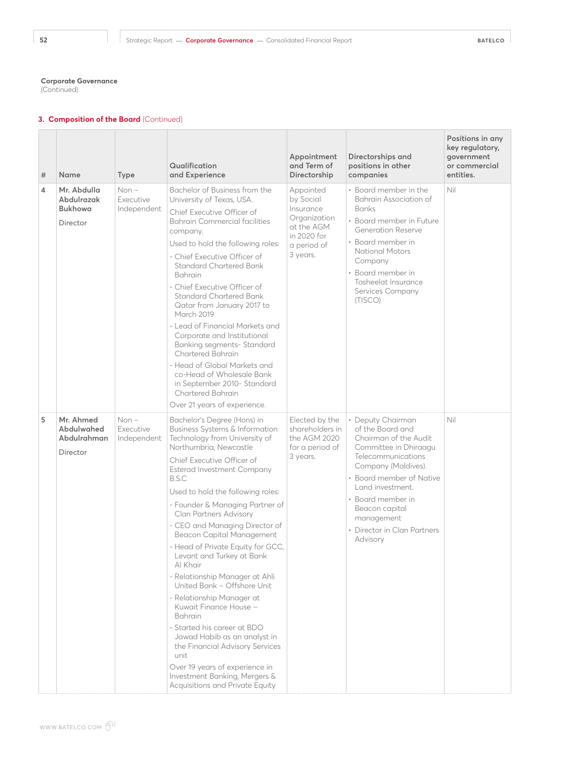(Continued)

| # | <b>Name</b>                                             | Type                                | Qualification<br>and Experience                                                                                                                                                                                                                                                                                                                                                                                                                                                                                                                                                                                                                                                                                                                                                                        | Appointment<br>and Term of<br>Directorship                                                                  | Directorships and<br>positions in other<br>companies                                                                                                                                                                                                                                 | Positions in any<br>key regulatory,<br>government<br>or commercial<br>entities. |
|---|---------------------------------------------------------|-------------------------------------|--------------------------------------------------------------------------------------------------------------------------------------------------------------------------------------------------------------------------------------------------------------------------------------------------------------------------------------------------------------------------------------------------------------------------------------------------------------------------------------------------------------------------------------------------------------------------------------------------------------------------------------------------------------------------------------------------------------------------------------------------------------------------------------------------------|-------------------------------------------------------------------------------------------------------------|--------------------------------------------------------------------------------------------------------------------------------------------------------------------------------------------------------------------------------------------------------------------------------------|---------------------------------------------------------------------------------|
| 4 | Mr. Abdulla<br>Abdulrazak<br><b>Bukhowa</b><br>Director | $Non-$<br>Executive<br>Independent  | Bachelor of Business from the<br>University of Texas, USA.<br>Chief Executive Officer of<br><b>Bahrain Commercial facilities</b><br>company.<br>Used to hold the following roles:<br>- Chief Executive Officer of<br>Standard Chartered Bank<br>Bahrain<br>- Chief Executive Officer of<br>Standard Chartered Bank<br>Qatar from January 2017 to<br><b>March 2019</b><br>- Lead of Financial Markets and<br>Corporate and Institutional<br>Banking segments- Standard<br><b>Chartered Bahrain</b><br>- Head of Global Markets and<br>co-Head of Wholesale Bank<br>in September 2010- Standard<br><b>Chartered Bahrain</b><br>Over 21 years of experience.                                                                                                                                              | Appointed<br>by Social<br>Insurance<br>Organization<br>at the AGM<br>in 2020 for<br>a period of<br>3 years. | • Board member in the<br>Bahrain Association of<br><b>Banks</b><br>• Board member in Future<br>Generation Reserve<br>• Board member in<br><b>National Motors</b><br>Company<br>• Board member in<br>Tasheelat Insurance<br>Services Company<br>(TISCO)                               | Nil                                                                             |
| 5 | Mr. Ahmed<br>Abdulwahed<br>Abdulrahman<br>Director      | $Non -$<br>Executive<br>Independent | Bachelor's Degree (Hons) in<br>Business Systems & Information<br>Technology from University of<br>Northumbria, Newcastle<br>Chief Executive Officer of<br>Esterad Investment Company<br>B.S.C<br>Used to hold the following roles:<br>- Founder & Managing Partner of<br><b>Clan Partners Advisory</b><br>- CEO and Managing Director of<br>Beacon Capital Management<br>- Head of Private Equity for GCC,<br>Levant and Turkey at Bank<br>Al Khair<br>- Relationship Manager at Ahli<br>United Bank - Offshore Unit<br>- Relationship Manager at<br>Kuwait Finance House -<br>Bahrain<br>- Started his career at BDO<br>Jawad Habib as an analyst in<br>the Financial Advisory Services<br>unit<br>Over 19 years of experience in<br>Investment Banking, Mergers &<br>Acquisitions and Private Equity | Elected by the<br>shareholders in<br>the AGM 2020<br>for a period of<br>3 years.                            | • Deputy Chairman<br>of the Board and<br>Chairman of the Audit<br>Committee in Dhiraagu<br>Telecommunications<br>Company (Maldives).<br>• Board member of Native<br>Land investment.<br>· Board member in<br>Beacon capital<br>management<br>• Director in Clan Partners<br>Advisory | Nil                                                                             |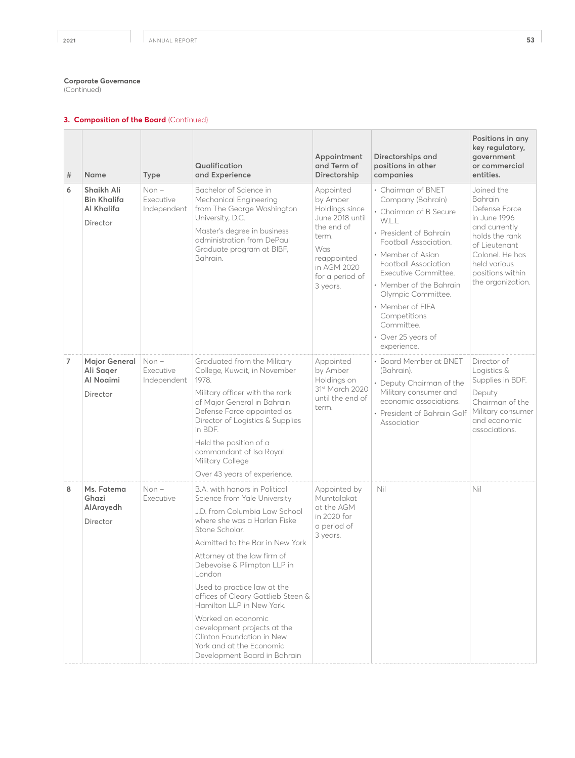(Continued)

| #              | Name                                                       | Type                                | Qualification<br>and Experience                                                                                                                                                                                                                                                                                                                                                                                                                                                                             | Appointment<br>and Term of<br>Directorship                                                                                                            | Directorships and<br>positions in other<br>companies                                                                                                                                                                                                                                                                                      | Positions in any<br>key regulatory,<br>government<br>or commercial<br>entities.                                                                                                               |
|----------------|------------------------------------------------------------|-------------------------------------|-------------------------------------------------------------------------------------------------------------------------------------------------------------------------------------------------------------------------------------------------------------------------------------------------------------------------------------------------------------------------------------------------------------------------------------------------------------------------------------------------------------|-------------------------------------------------------------------------------------------------------------------------------------------------------|-------------------------------------------------------------------------------------------------------------------------------------------------------------------------------------------------------------------------------------------------------------------------------------------------------------------------------------------|-----------------------------------------------------------------------------------------------------------------------------------------------------------------------------------------------|
| 6              | Shaikh Ali<br><b>Bin Khalifa</b><br>Al Khalifa<br>Director | $Non -$<br>Executive<br>Independent | Bachelor of Science in<br>Mechanical Engineering<br>from The George Washington<br>University, D.C.<br>Master's degree in business<br>administration from DePaul<br>Graduate program at BIBF,<br>Bahrain.                                                                                                                                                                                                                                                                                                    | Appointed<br>by Amber<br>Holdings since<br>June 2018 until<br>the end of<br>term.<br>Was<br>reappointed<br>in AGM 2020<br>for a period of<br>3 years. | • Chairman of BNET<br>Company (Bahrain)<br>• Chairman of B Secure<br>W.L.L<br>• President of Bahrain<br>Football Association.<br>• Member of Asian<br>Football Association<br>Executive Committee.<br>• Member of the Bahrain<br>Olympic Committee.<br>• Member of FIFA<br>Competitions<br>Committee<br>• Over 25 years of<br>experience. | Joined the<br><b>Bahrain</b><br>Defense Force<br>in June 1996<br>and currently<br>holds the rank<br>of Lieutenant<br>Colonel. He has<br>held various<br>positions within<br>the organization. |
| $\overline{7}$ | <b>Major General</b><br>Ali Sager<br>Al Noaimi<br>Director | $Non -$<br>Executive<br>Independent | Graduated from the Military<br>College, Kuwait, in November<br>1978.<br>Military officer with the rank<br>of Major General in Bahrain<br>Defense Force appointed as<br>Director of Logistics & Supplies<br>in BDF.<br>Held the position of a<br>commandant of Isa Royal<br>Military College<br>Over 43 years of experience.                                                                                                                                                                                 | Appointed<br>by Amber<br>Holdings on<br>31st March 2020<br>until the end of<br>term.                                                                  | • Board Member at BNET<br>(Bahrain).<br>• Deputy Chairman of the<br>Military consumer and<br>economic associations.<br>• President of Bahrain Golf<br>Association                                                                                                                                                                         | Director of<br>Logistics &<br>Supplies in BDF.<br>Deputy<br>Chairman of the<br>Military consumer<br>and economic<br>associations.                                                             |
| 8              | Ms. Fatema<br>Ghazi<br>AlArayedh<br>Director               | $Non -$<br>Executive                | B.A. with honors in Political<br>Science from Yale University<br>J.D. from Columbia Law School<br>where she was a Harlan Fiske<br>Stone Scholar.<br>Admitted to the Bar in New York<br>Attorney at the law firm of<br>Debevoise & Plimpton LLP in<br>London<br>Used to practice law at the<br>offices of Cleary Gottlieb Steen &<br>Hamilton LLP in New York.<br>Worked on economic<br>development projects at the<br>Clinton Foundation in New<br>York and at the Economic<br>Development Board in Bahrain | Appointed by<br>Mumtalakat<br>at the AGM<br>in 2020 for<br>a period of<br>3 years.                                                                    | Nil                                                                                                                                                                                                                                                                                                                                       | Nil                                                                                                                                                                                           |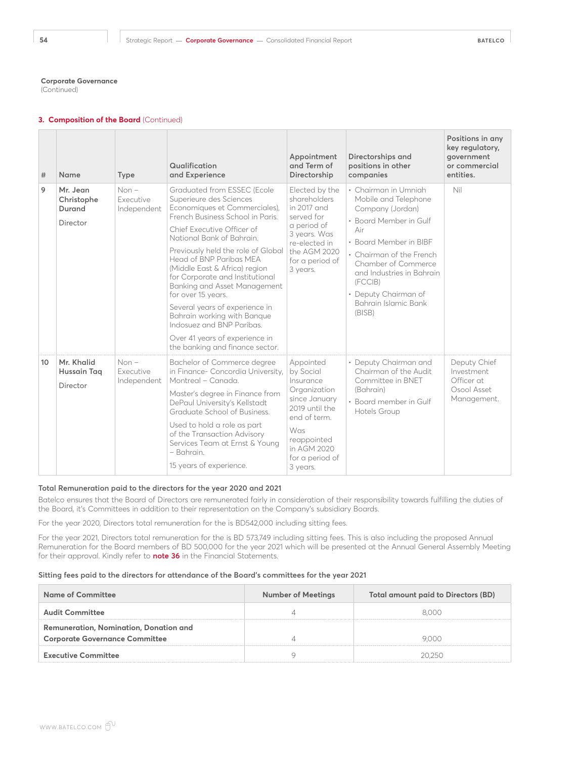(Continued)

## **3. Composition of the Board** (Continued)

| #  | Name                                         | <b>Type</b>                        | Qualification<br>and Experience                                                                                                                                                                                                                                                                                                                                                                                                                                                                                                                      | Appointment<br>and Term of<br>Directorship                                                                                                                                 | Directorships and<br>positions in other<br>companies                                                                                                                                                                                                                             | Positions in any<br>key regulatory,<br>qovernment<br>or commercial<br>entities. |
|----|----------------------------------------------|------------------------------------|------------------------------------------------------------------------------------------------------------------------------------------------------------------------------------------------------------------------------------------------------------------------------------------------------------------------------------------------------------------------------------------------------------------------------------------------------------------------------------------------------------------------------------------------------|----------------------------------------------------------------------------------------------------------------------------------------------------------------------------|----------------------------------------------------------------------------------------------------------------------------------------------------------------------------------------------------------------------------------------------------------------------------------|---------------------------------------------------------------------------------|
| 9  | Mr. Jean<br>Christophe<br>Durand<br>Director | $Non-$<br>Executive<br>Independent | Graduated from ESSEC (Ecole<br>Superieure des Sciences<br>Economiques et Commerciales),<br>French Business School in Paris.<br>Chief Executive Officer of<br>National Bank of Bahrain.<br>Previously held the role of Global<br>Head of BNP Paribas MEA<br>(Middle East & Africa) region<br>for Corporate and Institutional<br>Banking and Asset Management<br>for over 15 years.<br>Several years of experience in<br>Bahrain working with Banque<br>Indosuez and BNP Paribas.<br>Over 41 years of experience in<br>the banking and finance sector. | Elected by the<br>shareholders<br>in 2017 and<br>served for<br>a period of<br>3 years. Was<br>re-elected in<br>the AGM 2020<br>for a period of<br>3 years.                 | • Chairman in Umniah<br>Mobile and Telephone<br>Company (Jordan)<br>• Board Member in Gulf<br>Air<br>• Board Member in BIBF<br>• Chairman of the French<br>Chamber of Commerce<br>and Industries in Bahrain<br>(FCCIB)<br>• Deputy Chairman of<br>Bahrain Islamic Bank<br>(BISB) | Nil                                                                             |
| 10 | Mr. Khalid<br>Hussain Tag<br>Director        | $Non-$<br>Executive<br>Independent | Bachelor of Commerce degree<br>in Finance- Concordia University,<br>Montreal - Canada.<br>Master's degree in Finance from<br>DePaul University's Kellstadt<br>Graduate School of Business.<br>Used to hold a role as part<br>of the Transaction Advisory<br>Services Team at Ernst & Young<br>- Bahrain.<br>15 years of experience.                                                                                                                                                                                                                  | Appointed<br>by Social<br>Insurance<br>Organization<br>since January<br>2019 until the<br>end of term.<br>Was<br>reappointed<br>in AGM 2020<br>for a period of<br>3 years. | • Deputy Chairman and<br>Chairman of the Audit<br>Committee in BNET<br>(Bahrain)<br>• Board member in Gulf<br>Hotels Group                                                                                                                                                       | Deputy Chief<br>Investment<br>Officer at<br>Osool Asset<br>Management.          |

## **Total Remuneration paid to the directors for the year 2020 and 2021**

Batelco ensures that the Board of Directors are remunerated fairly in consideration of their responsibility towards fulfilling the duties of the Board, it's Committees in addition to their representation on the Company's subsidiary Boards.

For the year 2020, Directors total remuneration for the is BD542,000 including sitting fees.

For the year 2021, Directors total remuneration for the is BD 573,749 including sitting fees. This is also including the proposed Annual Remuneration for the Board members of BD 500,000 for the year 2021 which will be presented at the Annual General Assembly Meeting for their approval. Kindly refer to **note 36** in the Financial Statements.

## **Sitting fees paid to the directors for attendance of the Board's committees for the year 2021**

| <b>Name of Committee</b>                      | <b>Number of Meetings</b> | <b>Total amount paid to Directors (BD)</b> |
|-----------------------------------------------|---------------------------|--------------------------------------------|
| <b>Audit Committee</b>                        |                           | 8000                                       |
| <b>Remuneration, Nomination, Donation and</b> |                           |                                            |
| <b>Corporate Governance Committee</b>         |                           | 9 N N                                      |
| <b>Executive Committee</b>                    |                           | 20 25 A                                    |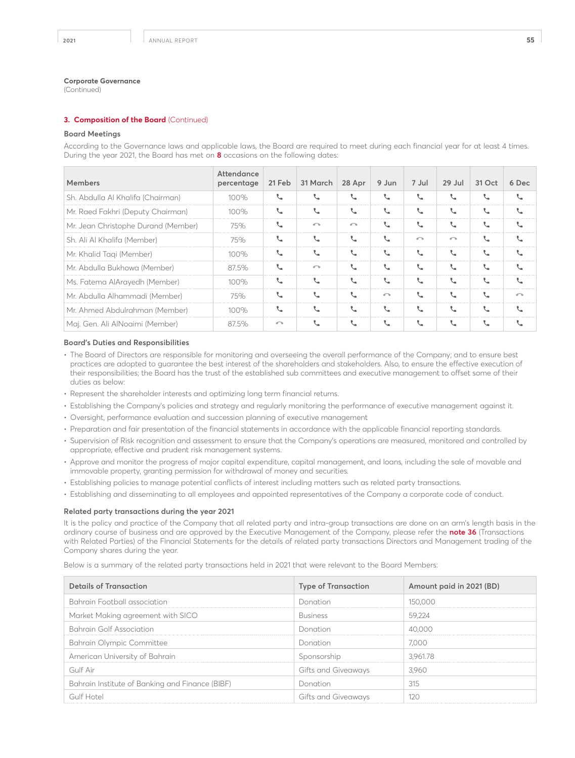(Continued)

## **3. Composition of the Board** (Continued)

#### **Board Meetings**

According to the Governance laws and applicable laws, the Board are required to meet during each financial year for at least 4 times. During the year 2021, the Board has met on **8** occasions on the following dates:

| <b>Members</b>                      | Attendance<br>percentage | 21 Feb                     | 31 March   | 28 Apr     | 9 Jun                      | 7 Jul                       | $29$ Jul      | 31 Oct | 6 Dec      |
|-------------------------------------|--------------------------|----------------------------|------------|------------|----------------------------|-----------------------------|---------------|--------|------------|
| Sh. Abdulla Al Khalifa (Chairman)   | 100%                     | ◟                          |            |            |                            | V.                          |               |        |            |
| Mr. Raed Fakhri (Deputy Chairman)   | 100%                     | ◟                          |            |            |                            |                             |               |        |            |
| Mr. Jean Christophe Durand (Member) | 75%                      | $\mathcal{L}_{\mathbf{m}}$ | $\sqrt{2}$ | $\sqrt{2}$ |                            | ◟                           |               |        |            |
| Sh. Ali Al Khalifa (Member)         | 75%                      | ◟                          | ◟          |            | L                          | $\sqrt{2}$                  | $\sqrt{2}$    |        |            |
| Mr. Khalid Tagi (Member)            | 100%                     | ◟                          |            |            |                            | V.                          |               |        |            |
| Mr. Abdulla Bukhowa (Member)        | 87.5%                    | ◟                          | $\sqrt{2}$ |            |                            | ↖                           | $\mathcal{L}$ |        |            |
| Ms. Fatema AlArayedh (Member)       | 100%                     | ◟                          | ◟          |            |                            | $\mathcal{L}_{\mathcal{A}}$ |               |        |            |
| Mr. Abdulla Alhammadi (Member)      | 75%                      | ◟                          |            |            | $\sqrt{2}$                 | J.                          |               |        | $\sqrt{2}$ |
| Mr. Ahmed Abdulrahman (Member)      | 100%                     |                            |            |            |                            | $\mathcal{L}_{\mathbf{a}}$  |               |        |            |
| Maj. Gen. Ali AlNoaimi (Member)     | 87.5%                    | $\sqrt{2}$                 | ◟          | ◟          | $\mathcal{L}_{\mathbf{a}}$ |                             |               |        |            |

#### **Board's Duties and Responsibilities**

- The Board of Directors are responsible for monitoring and overseeing the overall performance of the Company; and to ensure best practices are adopted to guarantee the best interest of the shareholders and stakeholders. Also, to ensure the effective execution of their responsibilities; the Board has the trust of the established sub committees and executive management to offset some of their duties as below:
- Represent the shareholder interests and optimizing long term financial returns.
- Establishing the Company's policies and strategy and regularly monitoring the performance of executive management against it.
- Oversight, performance evaluation and succession planning of executive management
- Preparation and fair presentation of the financial statements in accordance with the applicable financial reporting standards.
- Supervision of Risk recognition and assessment to ensure that the Company's operations are measured, monitored and controlled by appropriate, effective and prudent risk management systems.
- Approve and monitor the progress of major capital expenditure, capital management, and loans, including the sale of movable and immovable property, granting permission for withdrawal of money and securities.
- Establishing policies to manage potential conflicts of interest including matters such as related party transactions.
- Establishing and disseminating to all employees and appointed representatives of the Company a corporate code of conduct.

## **Related party transactions during the year 2021**

It is the policy and practice of the Company that all related party and intra-group transactions are done on an arm's length basis in the ordinary course of business and are approved by the Executive Management of the Company, please refer the **note 36** (Transactions with Related Parties) of the Financial Statements for the details of related party transactions Directors and Management trading of the Company shares during the year.

Below is a summary of the related party transactions held in 2021 that were relevant to the Board Members:

| <b>Details of Transaction</b>                   | <b>Type of Transaction</b> | Amount paid in 2021 (BD) |
|-------------------------------------------------|----------------------------|--------------------------|
| Bahrain Football association                    | Donation                   | 150,000                  |
| Market Making agreement with SICO               | <b>Business</b>            | 59.224                   |
| <b>Bahrain Golf Association</b>                 | Donation                   | 40,000                   |
| Bahrain Olympic Committee                       | Donation                   | 7.000                    |
| American University of Bahrain                  | Sponsorship                | 3.961.78                 |
| Gulf Air                                        | Gifts and Giveaways        | 3.960                    |
| Bahrain Institute of Banking and Finance (BIBF) | Donation                   | 315                      |
| Gulf Hotel                                      | Gifts and Giveaways        | 12 C                     |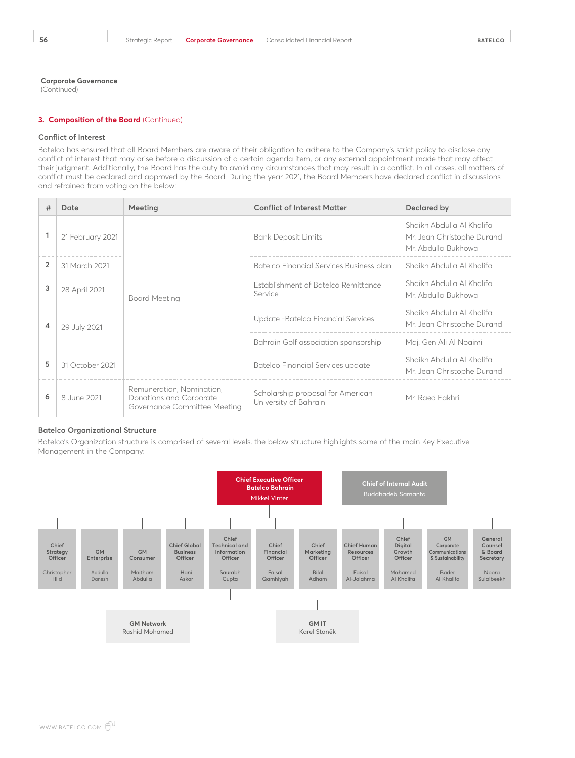(Continued)

## **3. Composition of the Board** (Continued)

#### **Conflict of Interest**

Batelco has ensured that all Board Members are aware of their obligation to adhere to the Company's strict policy to disclose any conflict of interest that may arise before a discussion of a certain agenda item, or any external appointment made that may affect their judgment. Additionally, the Board has the duty to avoid any circumstances that may result in a conflict. In all cases, all matters of conflict must be declared and approved by the Board. During the year 2021, the Board Members have declared conflict in discussions and refrained from voting on the below:

| #              | Date             | Meeting                                                                              | <b>Conflict of Interest Matter</b>                         | Declared by                                                                    |
|----------------|------------------|--------------------------------------------------------------------------------------|------------------------------------------------------------|--------------------------------------------------------------------------------|
|                | 21 February 2021 |                                                                                      | <b>Bank Deposit Limits</b>                                 | Shaikh Abdulla Al Khalifa<br>Mr. Jean Christophe Durand<br>Mr. Abdulla Bukhowa |
| $\overline{2}$ | 31 March 2021    |                                                                                      | Batelco Financial Services Business plan                   | Shaikh Abdulla Al Khalifa                                                      |
| 3              | 28 April 2021    | Board Meeting                                                                        | Establishment of Batelco Remittance<br>Service             | Shaikh Abdulla Al Khalifa<br>Mr. Abdulla Bukhowa                               |
| 4              | 29 July 2021     |                                                                                      | Update -Batelco Financial Services                         | Shaikh Abdulla Al Khalifa<br>Mr. Jean Christophe Durand                        |
|                |                  |                                                                                      | Bahrain Golf association sponsorship                       | Maj. Gen Ali Al Noaimi                                                         |
| 5              | 31 October 2021  |                                                                                      | Batelco Financial Services update                          | Shaikh Abdulla Al Khalifa<br>Mr. Jean Christophe Durand                        |
| 6              | 8 June 2021      | Remuneration, Nomination,<br>Donations and Corporate<br>Governance Committee Meeting | Scholarship proposal for American<br>University of Bahrain | Mr. Raed Fakhri                                                                |

### **Batelco Organizational Structure**

Batelco's Organization structure is comprised of several levels, the below structure highlights some of the main Key Executive Management in the Company:

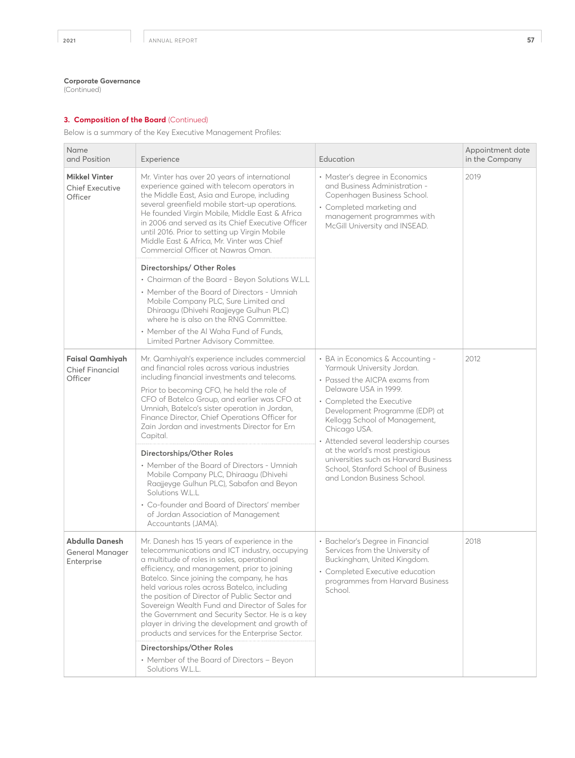(Continued)

# **3. Composition of the Board** (Continued)

Below is a summary of the Key Executive Management Profiles:

| Name<br>and Position                                        | Experience                                                                                                                                                                                                                                                                                                                                                                                                                                                                                                                                                                                                                                                                                                    | Education                                                                                                                                                                                                                                                                                                                                                                                                                           | Appointment date<br>in the Company |
|-------------------------------------------------------------|---------------------------------------------------------------------------------------------------------------------------------------------------------------------------------------------------------------------------------------------------------------------------------------------------------------------------------------------------------------------------------------------------------------------------------------------------------------------------------------------------------------------------------------------------------------------------------------------------------------------------------------------------------------------------------------------------------------|-------------------------------------------------------------------------------------------------------------------------------------------------------------------------------------------------------------------------------------------------------------------------------------------------------------------------------------------------------------------------------------------------------------------------------------|------------------------------------|
| <b>Mikkel Vinter</b><br><b>Chief Executive</b><br>Officer   | Mr. Vinter has over 20 years of international<br>experience gained with telecom operators in<br>the Middle East, Asia and Europe, including<br>several greenfield mobile start-up operations.<br>He founded Virgin Mobile, Middle East & Africa<br>in 2006 and served as its Chief Executive Officer<br>until 2016. Prior to setting up Virgin Mobile<br>Middle East & Africa, Mr. Vinter was Chief<br>Commercial Officer at Nawras Oman.                                                                                                                                                                                                                                                                     | • Master's degree in Economics<br>and Business Administration -<br>Copenhagen Business School.<br>• Completed marketing and<br>management programmes with<br>McGill University and INSEAD.                                                                                                                                                                                                                                          | 2019                               |
|                                                             | Directorships/ Other Roles<br>• Chairman of the Board - Beyon Solutions W.L.L<br>• Member of the Board of Directors - Umniah<br>Mobile Company PLC, Sure Limited and<br>Dhiraagu (Dhivehi Raajjeyge Gulhun PLC)<br>where he is also on the RNG Committee.<br>• Member of the Al Waha Fund of Funds,<br>Limited Partner Advisory Committee.                                                                                                                                                                                                                                                                                                                                                                    |                                                                                                                                                                                                                                                                                                                                                                                                                                     |                                    |
| <b>Faisal Qamhiyah</b><br><b>Chief Financial</b><br>Officer | Mr. Qamhiyah's experience includes commercial<br>and financial roles across various industries<br>including financial investments and telecoms.<br>Prior to becoming CFO, he held the role of<br>CFO of Batelco Group, and earlier was CFO at<br>Umniah, Batelco's sister operation in Jordan,<br>Finance Director, Chief Operations Officer for<br>Zain Jordan and investments Director for Ern<br>Capital.<br>Directorships/Other Roles<br>• Member of the Board of Directors - Umniah<br>Mobile Company PLC, Dhiraagu (Dhivehi<br>Raajjeyge Gulhun PLC), Sabafon and Beyon<br>Solutions W.L.L<br>• Co-founder and Board of Directors' member<br>of Jordan Association of Management<br>Accountants (JAMA). | • BA in Economics & Accounting -<br>Yarmouk University Jordan.<br>• Passed the AICPA exams from<br>Delaware USA in 1999.<br>• Completed the Executive<br>Development Programme (EDP) at<br>Kellogg School of Management,<br>Chicago USA.<br>• Attended several leadership courses<br>at the world's most prestigious<br>universities such as Harvard Business<br>School, Stanford School of Business<br>and London Business School. | 2012                               |
| Abdulla Danesh<br><b>General Manager</b><br>Enterprise      | Mr. Danesh has 15 years of experience in the<br>telecommunications and ICT industry, occupying<br>a multitude of roles in sales, operational<br>efficiency, and management, prior to joining<br>Batelco. Since joining the company, he has<br>held various roles across Batelco, including<br>the position of Director of Public Sector and<br>Sovereign Wealth Fund and Director of Sales for<br>the Government and Security Sector. He is a key<br>player in driving the development and growth of<br>products and services for the Enterprise Sector.<br>Directorships/Other Roles<br>• Member of the Board of Directors - Beyon<br>Solutions W.L.L.                                                       | • Bachelor's Degree in Financial<br>Services from the University of<br>Buckingham, United Kingdom.<br>• Completed Executive education<br>programmes from Harvard Business<br>School                                                                                                                                                                                                                                                 | 2018                               |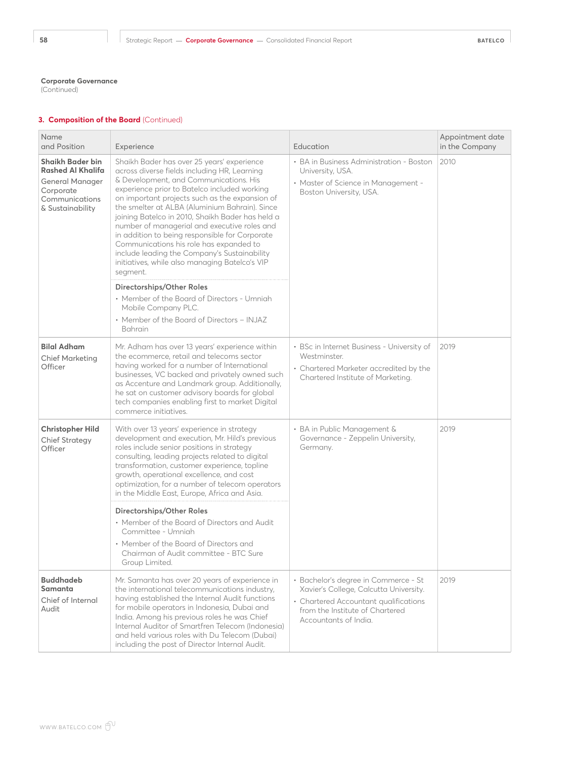(Continued)

| Name<br>and Position                                                                                                                                                                                                                                                                                                                                                                                                                                        | Experience                                                                                                                                                                                                                                                                                                                                                                                                                                                                                                                                                                                              | Education                                                                                                                                                                           | Appointment date<br>in the Company |
|-------------------------------------------------------------------------------------------------------------------------------------------------------------------------------------------------------------------------------------------------------------------------------------------------------------------------------------------------------------------------------------------------------------------------------------------------------------|---------------------------------------------------------------------------------------------------------------------------------------------------------------------------------------------------------------------------------------------------------------------------------------------------------------------------------------------------------------------------------------------------------------------------------------------------------------------------------------------------------------------------------------------------------------------------------------------------------|-------------------------------------------------------------------------------------------------------------------------------------------------------------------------------------|------------------------------------|
| <b>Shaikh Bader bin</b><br><b>Rashed Al Khalifa</b><br><b>General Manager</b><br>Corporate<br>Communications<br>& Sustainability                                                                                                                                                                                                                                                                                                                            | Shaikh Bader has over 25 years' experience<br>across diverse fields including HR, Learning<br>& Development, and Communications. His<br>experience prior to Batelco included working<br>on important projects such as the expansion of<br>the smelter at ALBA (Aluminium Bahrain). Since<br>joining Batelco in 2010, Shaikh Bader has held a<br>number of managerial and executive roles and<br>in addition to being responsible for Corporate<br>Communications his role has expanded to<br>include leading the Company's Sustainability<br>initiatives, while also managing Batelco's VIP<br>segment. | • BA in Business Administration - Boston<br>University, USA.<br>• Master of Science in Management -<br>Boston University, USA.                                                      | 2010                               |
|                                                                                                                                                                                                                                                                                                                                                                                                                                                             | Directorships/Other Roles<br>• Member of the Board of Directors - Umniah<br>Mobile Company PLC.<br>• Member of the Board of Directors - INJAZ<br>Bahrain                                                                                                                                                                                                                                                                                                                                                                                                                                                |                                                                                                                                                                                     |                                    |
| <b>Bilal Adham</b><br><b>Chief Marketing</b><br>Officer                                                                                                                                                                                                                                                                                                                                                                                                     | Mr. Adham has over 13 years' experience within<br>the ecommerce, retail and telecoms sector<br>having worked for a number of International<br>businesses, VC backed and privately owned such<br>as Accenture and Landmark group. Additionally,<br>he sat on customer advisory boards for global<br>tech companies enabling first to market Digital<br>commerce initiatives.                                                                                                                                                                                                                             | • BSc in Internet Business - University of<br>Westminster.<br>• Chartered Marketer accredited by the<br>Chartered Institute of Marketing.                                           | 2019                               |
| With over 13 years' experience in strategy<br><b>Christopher Hild</b><br>development and execution, Mr. Hild's previous<br><b>Chief Strategy</b><br>roles include senior positions in strategy<br>Officer<br>consulting, leading projects related to digital<br>transformation, customer experience, topline<br>growth, operational excellence, and cost<br>optimization, for a number of telecom operators<br>in the Middle East, Europe, Africa and Asia. |                                                                                                                                                                                                                                                                                                                                                                                                                                                                                                                                                                                                         | • BA in Public Management &<br>Governance - Zeppelin University,<br>Germany.                                                                                                        | 2019                               |
|                                                                                                                                                                                                                                                                                                                                                                                                                                                             | Directorships/Other Roles<br>• Member of the Board of Directors and Audit<br>Committee - Umniah<br>• Member of the Board of Directors and<br>Chairman of Audit committee - BTC Sure<br>Group Limited.                                                                                                                                                                                                                                                                                                                                                                                                   |                                                                                                                                                                                     |                                    |
| <b>Buddhadeb</b><br>Samanta<br>Chief of Internal<br>Audit                                                                                                                                                                                                                                                                                                                                                                                                   | Mr. Samanta has over 20 years of experience in<br>the international telecommunications industry,<br>having established the Internal Audit functions<br>for mobile operators in Indonesia, Dubai and<br>India. Among his previous roles he was Chief<br>Internal Auditor of Smartfren Telecom (Indonesia)<br>and held various roles with Du Telecom (Dubai)<br>including the post of Director Internal Audit.                                                                                                                                                                                            | • Bachelor's degree in Commerce - St<br>Xavier's College, Calcutta University.<br>• Chartered Accountant qualifications<br>from the Institute of Chartered<br>Accountants of India. | 2019                               |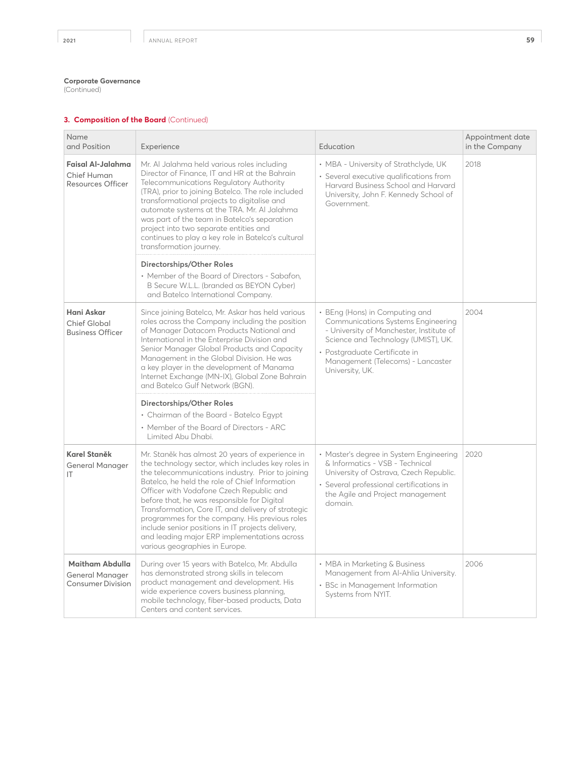(Continued)

| Name<br>and Position                                           | Experience                                                                                                                                                                                                                                                                                                                                                                                                                                                                                                                                             | Education                                                                                                                                                                                                                                               | Appointment date<br>in the Company |
|----------------------------------------------------------------|--------------------------------------------------------------------------------------------------------------------------------------------------------------------------------------------------------------------------------------------------------------------------------------------------------------------------------------------------------------------------------------------------------------------------------------------------------------------------------------------------------------------------------------------------------|---------------------------------------------------------------------------------------------------------------------------------------------------------------------------------------------------------------------------------------------------------|------------------------------------|
| Faisal Al-Jalahma<br>Chief Human<br><b>Resources Officer</b>   | Mr. Al Jalahma held various roles including<br>Director of Finance, IT and HR at the Bahrain<br>Telecommunications Regulatory Authority<br>(TRA), prior to joining Batelco. The role included<br>transformational projects to digitalise and<br>automate systems at the TRA. Mr. Al Jalahma<br>was part of the team in Batelco's separation<br>project into two separate entities and<br>continues to play a key role in Batelco's cultural<br>transformation journey.                                                                                 | • MBA - University of Strathclyde, UK<br>• Several executive qualifications from<br>Harvard Business School and Harvard<br>University, John F. Kennedy School of<br>Government.                                                                         | 2018                               |
|                                                                | Directorships/Other Roles<br>• Member of the Board of Directors - Sabafon,<br>B Secure W.L.L. (branded as BEYON Cyber)<br>and Batelco International Company.                                                                                                                                                                                                                                                                                                                                                                                           |                                                                                                                                                                                                                                                         |                                    |
| Hani Askar<br><b>Chief Global</b><br><b>Business Officer</b>   | Since joining Batelco, Mr. Askar has held various<br>roles across the Company including the position<br>of Manager Datacom Products National and<br>International in the Enterprise Division and<br>Senior Manager Global Products and Capacity<br>Management in the Global Division. He was<br>a key player in the development of Manama<br>Internet Exchange (MN-IX), Global Zone Bahrain<br>and Batelco Gulf Network (BGN).                                                                                                                         | • BEng (Hons) in Computing and<br><b>Communications Systems Engineering</b><br>- University of Manchester, Institute of<br>Science and Technology (UMIST), UK.<br>· Postgraduate Certificate in<br>Management (Telecoms) - Lancaster<br>University, UK. | 2004                               |
|                                                                | Directorships/Other Roles<br>• Chairman of the Board - Batelco Egypt<br>• Member of the Board of Directors - ARC<br>Limited Abu Dhabi.                                                                                                                                                                                                                                                                                                                                                                                                                 |                                                                                                                                                                                                                                                         |                                    |
| Karel Staněk<br><b>General Manager</b><br>IT                   | Mr. Staněk has almost 20 years of experience in<br>the technology sector, which includes key roles in<br>the telecommunications industry. Prior to joining<br>Batelco, he held the role of Chief Information<br>Officer with Vodafone Czech Republic and<br>before that, he was responsible for Digital<br>Transformation, Core IT, and delivery of strategic<br>programmes for the company. His previous roles<br>include senior positions in IT projects delivery,<br>and leading major ERP implementations across<br>various geographies in Europe. | • Master's degree in System Engineering<br>& Informatics - VSB - Technical<br>University of Ostrava, Czech Republic.<br>· Several professional certifications in<br>the Agile and Project management<br>domain.                                         | 2020                               |
| Maitham Abdulla<br>General Manager<br><b>Consumer Division</b> | During over 15 years with Batelco, Mr. Abdulla<br>has demonstrated strong skills in telecom<br>product management and development. His<br>wide experience covers business planning,<br>mobile technology, fiber-based products, Data<br>Centers and content services.                                                                                                                                                                                                                                                                                  | • MBA in Marketing & Business<br>Management from Al-Ahlia University.<br>• BSc in Management Information<br>Systems from NYIT.                                                                                                                          | 2006                               |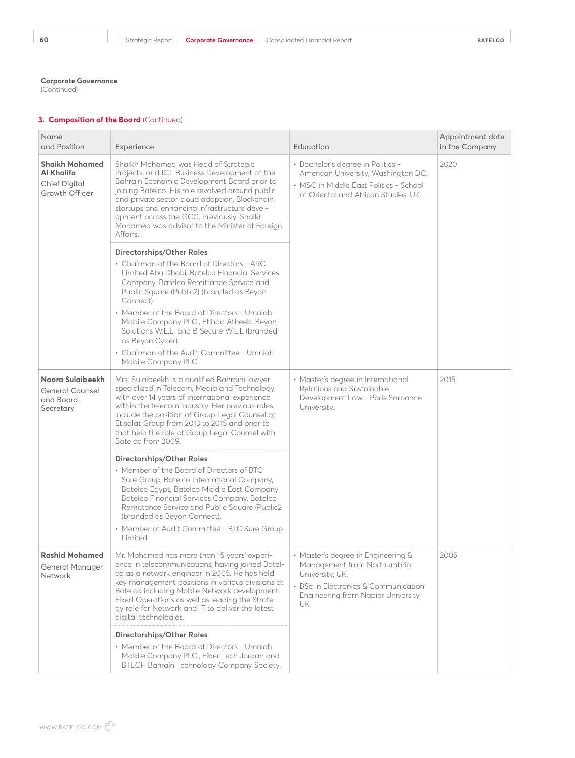(Continued)

| Name<br>and Position                                                          | Experience                                                                                                                                                                                                                                                                                                                                                                                            | Education                                                                                                                                                                  | Appointment date<br>in the Company |  |
|-------------------------------------------------------------------------------|-------------------------------------------------------------------------------------------------------------------------------------------------------------------------------------------------------------------------------------------------------------------------------------------------------------------------------------------------------------------------------------------------------|----------------------------------------------------------------------------------------------------------------------------------------------------------------------------|------------------------------------|--|
| <b>Shaikh Mohamed</b><br>Al Khalifa<br><b>Chief Digital</b><br>Growth Officer | Shaikh Mohamed was Head of Strategic<br>Projects, and ICT Business Development at the<br>Bahrain Economic Development Board prior to<br>joining Batelco. His role revolved around public<br>and private sector cloud adoption, Blockchain,<br>startups and enhancing infrastructure devel-<br>opment across the GCC. Previously, Shaikh<br>Mohamed was advisor to the Minister of Foreign<br>Affairs. | · Bachelor's degree in Politics -<br>American University, Washington DC.<br>• MSC in Middle East Politics - School<br>of Oriental and African Studies, UK.                 | 2020                               |  |
|                                                                               | Directorships/Other Roles<br>• Chairman of the Board of Directors - ARC                                                                                                                                                                                                                                                                                                                               |                                                                                                                                                                            |                                    |  |
|                                                                               | Limited Abu Dhabi, Batelco Financial Services<br>Company, Batelco Remittance Service and<br>Public Square (Public2) (branded as Beyon<br>Connect).                                                                                                                                                                                                                                                    |                                                                                                                                                                            |                                    |  |
|                                                                               | • Member of the Board of Directors - Umniah<br>Mobile Company PLC., Etihad Atheeb, Beyon<br>Solutions W.L.L, and B Secure W.L.L (branded<br>as Beyon Cyber).                                                                                                                                                                                                                                          |                                                                                                                                                                            |                                    |  |
|                                                                               | • Chairman of the Audit Committee - Umniah<br>Mobile Company PLC.                                                                                                                                                                                                                                                                                                                                     |                                                                                                                                                                            |                                    |  |
| Noora Sulaibeekh<br><b>General Counsel</b><br>and Board<br>Secretary          | Mrs. Sulaibeekh is a qualified Bahraini lawyer<br>specialized in Telecom, Media and Technology,<br>with over 14 years of international experience<br>within the telecom industry. Her previous roles<br>include the position of Group Legal Counsel at<br>Etisalat Group from 2013 to 2015 and prior to<br>that held the role of Group Legal Counsel with<br>Batelco from 2009.                       | • Master's degree in International<br>Relations and Sustainable<br>Development Law - Paris Sorbonne<br>University.                                                         | 2015                               |  |
|                                                                               | Directorships/Other Roles                                                                                                                                                                                                                                                                                                                                                                             |                                                                                                                                                                            |                                    |  |
|                                                                               | • Member of the Board of Directors of BTC<br>Sure Group, Batelco International Company,<br>Batelco Egypt, Batelco Middle East Company,<br>Batelco Financial Services Company, Batelco<br>Remittance Service and Public Square (Public2<br>(branded as Beyon Connect).                                                                                                                                 |                                                                                                                                                                            |                                    |  |
|                                                                               | • Member of Audit Committee - BTC Sure Group<br>Limited                                                                                                                                                                                                                                                                                                                                               |                                                                                                                                                                            |                                    |  |
| <b>Rashid Mohamed</b><br><b>General Manager</b><br>Network                    | Mr. Mohamed has more than 15 years' experi-<br>ence in telecommunications, having joined Batel-<br>co as a network engineer in 2005. He has held<br>key management positions in various divisions at<br>Batelco including Mobile Network development,<br>Fixed Operations as well as leading the Strate-<br>gy role for Network and IT to deliver the latest<br>digital technologies.                 | • Master's degree in Engineering &<br>Management from Northumbria<br>University, UK.<br>• BSc in Electronics & Communication<br>Engineering from Napier University,<br>UK. | 2005                               |  |
|                                                                               | Directorships/Other Roles<br>• Member of the Board of Directors - Umnigh<br>Mobile Company PLC., Fiber Tech Jordan and<br>BTECH Bahrain Technology Company Society.                                                                                                                                                                                                                                   |                                                                                                                                                                            |                                    |  |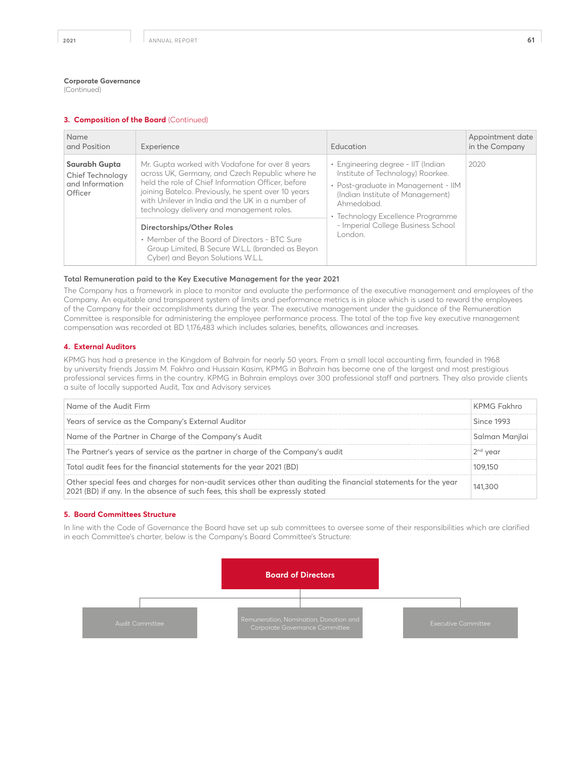(Continued)

#### **3. Composition of the Board** (Continued)

| Name<br>and Position                                            | Experience                                                                                                                                                                                                                                                                                                                                                                                                                                                                            | <b>Education</b>                                                                                                                                                                                                                                      | Appointment date<br>in the Company |
|-----------------------------------------------------------------|---------------------------------------------------------------------------------------------------------------------------------------------------------------------------------------------------------------------------------------------------------------------------------------------------------------------------------------------------------------------------------------------------------------------------------------------------------------------------------------|-------------------------------------------------------------------------------------------------------------------------------------------------------------------------------------------------------------------------------------------------------|------------------------------------|
| Saurabh Gupta<br>Chief Technology<br>and Information<br>Officer | Mr. Gupta worked with Vodafone for over 8 years<br>across UK, Germany, and Czech Republic where he<br>held the role of Chief Information Officer, before<br>joining Batelco. Previously, he spent over 10 years<br>with Unilever in India and the UK in a number of<br>technology delivery and management roles.<br>Directorships/Other Roles<br>• Member of the Board of Directors - BTC Sure<br>Group Limited, B Secure W.L.L (branded as Beyon<br>Cyber) and Beyon Solutions W.L.L | • Engineering degree - IIT (Indian<br>Institute of Technology) Roorkee.<br>• Post-graduate in Management - IIM<br>(Indian Institute of Management)<br>Ahmedabad<br>• Technology Excellence Programme<br>- Imperial College Business School<br>London. | 2020                               |

#### **Total Remuneration paid to the Key Executive Management for the year 2021**

The Company has a framework in place to monitor and evaluate the performance of the executive management and employees of the Company. An equitable and transparent system of limits and performance metrics is in place which is used to reward the employees of the Company for their accomplishments during the year. The executive management under the guidance of the Remuneration Committee is responsible for administering the employee performance process. The total of the top five key executive management compensation was recorded at BD 1,176,483 which includes salaries, benefits, allowances and increases.

## **4. External Auditors**

KPMG has had a presence in the Kingdom of Bahrain for nearly 50 years. From a small local accounting firm, founded in 1968 by university friends Jassim M. Fakhro and Hussain Kasim, KPMG in Bahrain has become one of the largest and most prestigious professional services firms in the country. KPMG in Bahrain employs over 300 professional staff and partners. They also provide clients a suite of locally supported Audit, Tax and Advisory services

| Name of the Audit Firm                                                                                                                                                                           | KPMG Fakhro    |
|--------------------------------------------------------------------------------------------------------------------------------------------------------------------------------------------------|----------------|
| Years of service as the Company's External Auditor                                                                                                                                               | Since 1993     |
| Name of the Partner in Charge of the Company's Audit                                                                                                                                             | Salman Manilai |
| The Partner's years of service as the partner in charge of the Company's audit                                                                                                                   | $2nd$ year     |
| Total audit fees for the financial statements for the year 2021 (BD)                                                                                                                             |                |
| Other special fees and charges for non-audit services other than auditing the financial statements for the year<br>2021 (BD) if any. In the absence of such fees, this shall be expressly stated |                |

#### **5. Board Committees Structure**

In line with the Code of Governance the Board have set up sub committees to oversee some of their responsibilities which are clarified in each Committee's charter, below is the Company's Board Committee's Structure:

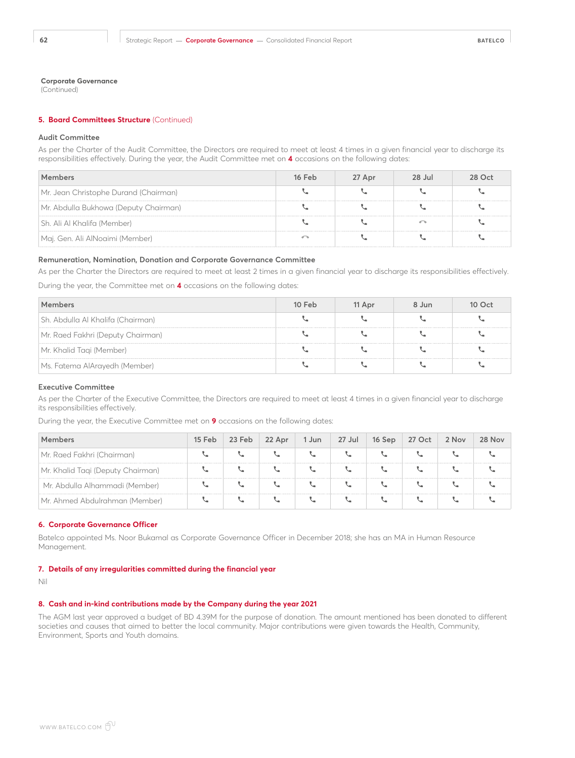(Continued)

## **5. Board Committees Structure** (Continued)

#### **Audit Committee**

As per the Charter of the Audit Committee, the Directors are required to meet at least 4 times in a given financial year to discharge its responsibilities effectively. During the year, the Audit Committee met on **4** occasions on the following dates:

|                                       | 16 Feb | 27 Apr | 28 Jul | הרו אי |
|---------------------------------------|--------|--------|--------|--------|
| Mr. Jean Christophe Durand (Chairman) |        |        |        |        |
| Mr. Abdulla Bukhowa (Deputy Chairman) |        |        |        |        |
| Sh. Ali Al Khalifa (Member)           |        |        |        |        |
| Maj. Gen. Ali AlNoaimi (Member)       |        |        |        |        |

## **Remuneration, Nomination, Donation and Corporate Governance Committee**

As per the Charter the Directors are required to meet at least 2 times in a given financial year to discharge its responsibilities effectively.

During the year, the Committee met on **4** occasions on the following dates:

|                                   | 10 Feb | 11 Apr | 8 Jun |  |
|-----------------------------------|--------|--------|-------|--|
| Sh. Abdulla Al Khalifa (Chairman) |        |        |       |  |
| Mr. Raed Fakhri (Deputy Chairman) |        |        |       |  |
| Mr. Khalid Taqi (Member)          |        |        |       |  |
| Ms. Fatema AlArayedh (Member)     |        |        |       |  |

#### **Executive Committee**

As per the Charter of the Executive Committee, the Directors are required to meet at least 4 times in a given financial year to discharge its responsibilities effectively.

During the year, the Executive Committee met on **9** occasions on the following dates:

|                                   | 15 Feb $\vert$ 23 Feb $\vert$ 22 Apr | 1 Jun | $27$ Jul | $\vert$ 16 Sep $\vert$ 27 Oct $\vert$ 2 Nov | 28 Nov |
|-----------------------------------|--------------------------------------|-------|----------|---------------------------------------------|--------|
| Mr. Raed Fakhri (Chairman)        |                                      |       |          |                                             |        |
| Mr. Khalid Tagi (Deputy Chairman) |                                      |       |          |                                             |        |
| Mr. Abdulla Alhammadi (Member)    |                                      |       |          |                                             |        |
| Mr. Ahmed Abdulrahman (Member)    |                                      |       |          |                                             |        |

#### **6. Corporate Governance Officer**

Batelco appointed Ms. Noor Bukamal as Corporate Governance Officer in December 2018; she has an MA in Human Resource Management.

#### **7. Details of any irregularities committed during the financial year**

Nil

## **8. Cash and in-kind contributions made by the Company during the year 2021**

The AGM last year approved a budget of BD 4.39M for the purpose of donation. The amount mentioned has been donated to different societies and causes that aimed to better the local community. Major contributions were given towards the Health, Community, Environment, Sports and Youth domains.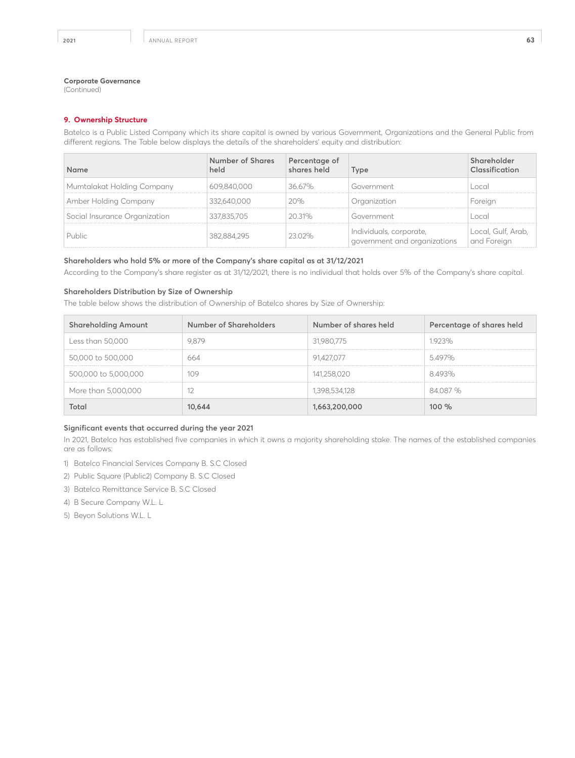(Continued)

## **9. Ownership Structure**

Batelco is a Public Listed Company which its share capital is owned by various Government, Organizations and the General Public from different regions. The Table below displays the details of the shareholders' equity and distribution:

| <b>Name</b>                   | Number of Shares<br>held | Percentage of<br>shares held | <b>vpe</b>                                              | Inseification                    |
|-------------------------------|--------------------------|------------------------------|---------------------------------------------------------|----------------------------------|
| Mumtalakat Holding Company    |                          | 36.67%                       | Government                                              | nco                              |
| Amber Holding Company         | / 64U H H H              |                              |                                                         |                                  |
| Social Insurance Organization | 337,835,705              | 20.31%                       | Government                                              | ncc                              |
| Public                        |                          |                              | Individuals, corporate,<br>government and organizations | Local, Gult, Arab<br>and Eoreian |

## **Shareholders who hold 5% or more of the Company's share capital as at 31/12/2021**

According to the Company's share register as at 31/12/2021, there is no individual that holds over 5% of the Company's share capital.

## **Shareholders Distribution by Size of Ownership**

The table below shows the distribution of Ownership of Batelco shares by Size of Ownership:

| <b>Shareholding Amount</b> | Number of Shareholders | Number of shares held | Percentage of shares held |
|----------------------------|------------------------|-----------------------|---------------------------|
| Less than 50,000           | 9.879                  | 31,980,775            | 1923%                     |
| 50,000 to 500,000          | 664                    | 91.427.077            | 5497%                     |
| 500,000 to 5,000,000       | 109                    | 141,258,020           | 8493%                     |
| More than 5,000,000        |                        | 1,398,534,128         | 84.087 %                  |
| Total                      | 10,644                 | 1,663,200,000         | 100%                      |

## **Significant events that occurred during the year 2021**

In 2021, Batelco has established five companies in which it owns a majority shareholding stake. The names of the established companies are as follows:

- 1) Batelco Financial Services Company B. S.C Closed
- 2) Public Square (Public2) Company B. S.C Closed
- 3) Batelco Remittance Service B. S.C Closed
- 4) B Secure Company W.L. L
- 5) Beyon Solutions W.L. L